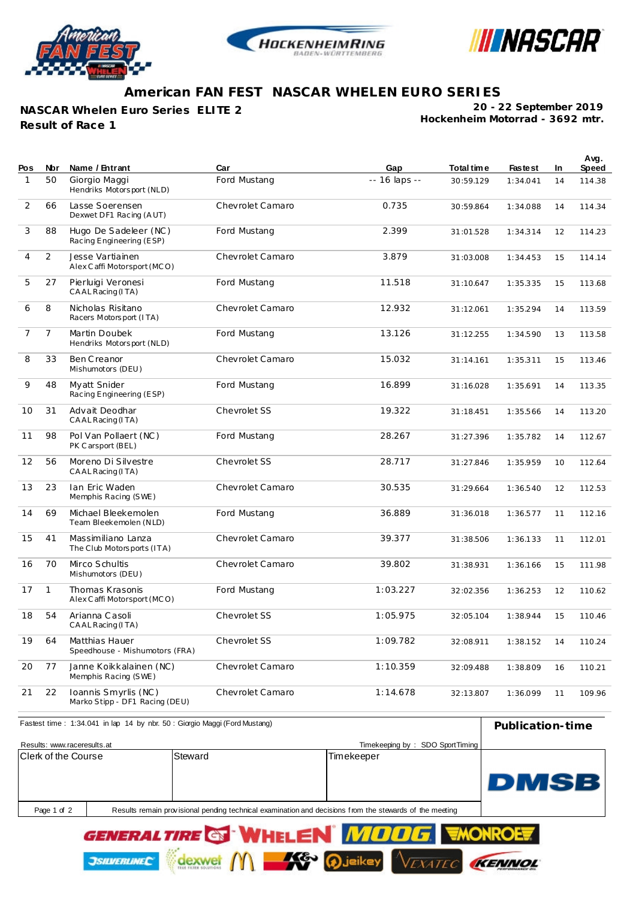





## **American FAN FEST NASCAR WHELEN EURO SERIES**

**NASCAR Whelen Euro Series ELITE 2**

**JSILVERLINEC** 

dexwe

**Result of Race 1**

**Hockenheim Motorrad - 3692 mtr. 20 - 22 September 2019**

| Pos            | <b>Nbr</b>     | Name / Entrant                                         | Car              | Gap           | Total time | <b>Fastest</b> | In. | Avg.<br><b>Speed</b> |
|----------------|----------------|--------------------------------------------------------|------------------|---------------|------------|----------------|-----|----------------------|
| 1              | 50             | Giorgio Maggi<br>Hendriks Motorsport (NLD)             | Ford Mustang     | -- 16 laps -- | 30:59.129  | 1:34.041       | 14  | 114.38               |
| 2              | 66             | Lasse Soerensen<br>Dexwet DF1 Racing (AUT)             | Chevrolet Camaro | 0.735         | 30:59.864  | 1:34.088       | 14  | 114.34               |
| 3              | 88             | Hugo De Sadeleer (NC)<br>Racing Engineering (ESP)      | Ford Mustang     | 2.399         | 31:01.528  | 1:34.314       | 12  | 114.23               |
| $\overline{4}$ | $\overline{2}$ | Jesse Vartiainen<br>Alex Caffi Motorsport (MCO)        | Chevrolet Camaro | 3.879         | 31:03.008  | 1:34.453       | 15  | 114.14               |
| 5              | 27             | Pierluigi Veronesi<br>CAAL Racing (ITA)                | Ford Mustang     | 11.518        | 31:10.647  | 1:35.335       | 15  | 113.68               |
| 6              | 8              | Nicholas Risitano<br>Racers Motorsport (ITA)           | Chevrolet Camaro | 12.932        | 31:12.061  | 1:35.294       | 14  | 113.59               |
| $\overline{7}$ | $\overline{7}$ | Martin Doubek<br>Hendriks Motorsport (NLD)             | Ford Mustang     | 13.126        | 31:12.255  | 1:34.590       | 13  | 113.58               |
| 8              | 33             | Ben Creanor<br>Mishumotors (DEU)                       | Chevrolet Camaro | 15.032        | 31:14.161  | 1:35.311       | 15  | 113.46               |
| 9              | 48             | Myatt Snider<br>Racing Engineering (ESP)               | Ford Mustang     | 16.899        | 31:16.028  | 1:35.691       | 14  | 113.35               |
| 10             | 31             | Advait Deodhar<br>CAAL Racing (ITA)                    | Chevrolet SS     | 19.322        | 31:18.451  | 1:35.566       | 14  | 113.20               |
| 11             | 98             | Pol Van Pollaert (NC)<br>PK Carsport (BEL)             | Ford Mustang     | 28.267        | 31:27.396  | 1:35.782       | 14  | 112.67               |
| 12             | 56             | Moreno Di Silvestre<br>CAAL Racing (ITA)               | Chevrolet SS     | 28.717        | 31:27.846  | 1:35.959       | 10  | 112.64               |
| 13             | 23             | Ian Eric Waden<br>Memphis Racing (SWE)                 | Chevrolet Camaro | 30.535        | 31:29.664  | 1:36.540       | 12  | 112.53               |
| 14             | 69             | Michael Bleekemolen<br>Team Bleekemolen (NLD)          | Ford Mustang     | 36.889        | 31:36.018  | 1:36.577       | 11  | 112.16               |
| 15             | 41             | Massimiliano Lanza<br>The Club Motorsports (ITA)       | Chevrolet Camaro | 39.377        | 31:38.506  | 1:36.133       | 11  | 112.01               |
| 16             | 70             | Mirco Schultis<br>Mishumotors (DEU)                    | Chevrolet Camaro | 39.802        | 31:38.931  | 1:36.166       | 15  | 111.98               |
| 17             | $\mathbf{1}$   | Thomas Krasonis<br>Alex Caffi Motorsport (MCO)         | Ford Mustang     | 1:03.227      | 32:02.356  | 1:36.253       | 12  | 110.62               |
| 18             | 54             | Arianna Casoli<br>CAAL Racing (ITA)                    | Chevrolet SS     | 1:05.975      | 32:05.104  | 1:38.944       | 15  | 110.46               |
| 19             | 64             | Matthias Hauer<br>Speedhouse - Mishumotors (FRA)       | Chevrolet SS     | 1:09.782      | 32:08.911  | 1:38.152       | 14  | 110.24               |
| 20             | 77             | Janne Koikkalainen (NC)<br>Memphis Racing (SWE)        | Chevrolet Camaro | 1:10.359      | 32:09.488  | 1:38.809       | 16  | 110.21               |
| 21             | 22             | Ioannis Smyrlis (NC)<br>Marko Stipp - DF1 Racing (DEU) | Chevrolet Camaro | 1:14.678      | 32:13.807  | 1:36.099       | 11  | 109.96               |



K

ieikev

KENNO